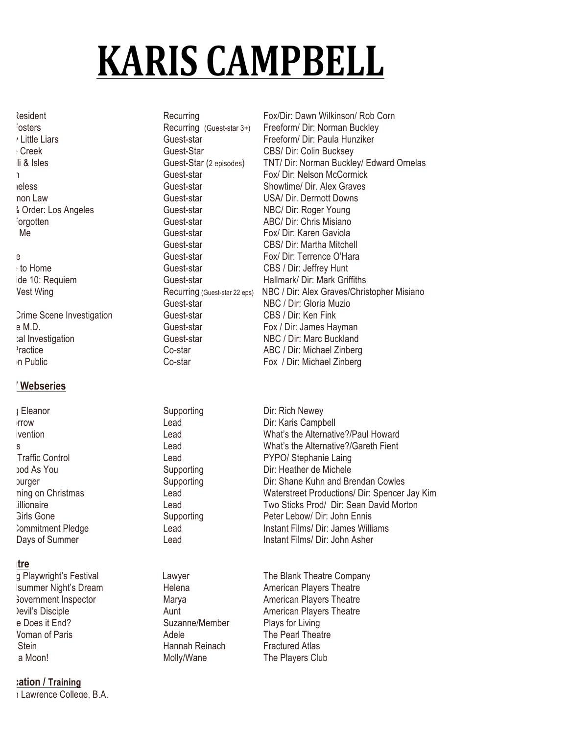# **KARIS CAMPBELL**

Crime Scene Investigation Guest-star CBS / Dir: Ken Fink

### **Film/ Webseries**

I Eleanor Supporting Dir: Rich Newey

#### **tre**

e Does it End? Suzanne/Member Plays for Living Voman of Paris **The Pearl Theatre** Adele The Pearl Theatre Edith Stein Hannah Reinach Fractured Atlas a Moon! a Molly/Wane The Players Club

#### **Education / Training**

I Lawrence College, B.A.

Recurring Fox/Dir: Dawn Wilkinson/ Rob Corn Recurring Fox/Dir: Dawn Wilkinson/ Rob Corn The Fosters **The Fosters Accompany** Recurring (Guest-star 3+) Freeform/ Dir: Norman Buckley Ittle Liars **Communist Communist Communist Constant Contract Constant Constant Communist Constant** Freeform/ Dir: Paula Hunziker Battle Creek Guest-Star CBS/ Dir: Colin Bucksey li & Isles **Guest-Star (2 episodes)** TNT/ Dir: Norman Buckley/ Edward Ornelas Touch Guest-star Fox/ Dir: Nelson McCormick Shameless Guest-star Showtime/ Dir. Alex Graves non Law Guest-star USA/ Dir. Dermott Downs Law Order: Los Angeles Guest-star NBC/ Dir: Roger Young The Forgotten Guest-star **ABC/ Dir: Chris Misiano** Guest-star ABC/ Dir: Chris Misiano Lie to Me Guest-star Fox/ Dir: Karen Gaviola Guest-star CBS/ Dir: Martha Mitchell e Guest-star Fox/ Dir: Terrence O'Hara Close to Home Guest-star CBS / Dir: Jeffrey Hunt ide 10: Requiem The Cuest-star Hallmark/ Dir: Mark Griffiths Vest Wing **The Wing Constant Constant Constant Constant Constant Constant Constant Constant Constant Constant Co** Guest-star NBC / Dir: Gloria Muzio e M.D. Guest-star Fox / Dir: James Hayman al Investigation **Guest-star** Guest-star NBC / Dir: Marc Buckland Practice **Co-star ABC / Dir: Michael Zinberg**  $\overline{C}$ In Public **Co-star Co-star** Fox / Dir: Michael Zinberg

Irrow Lead Lead Dir: Karis Campbell ivention **Emotion** Lead Lead What's the Alternative?/Paul Howard s and Lead Lead What's the Alternative?/Gareth Fient Traffic Control **Control Control Lead Lead** PYPO/ Stephanie Laing As You **Supporting** Dir: Heather de Michele Hellaburger Supporting Dir: Shane Kuhn and Brendan Cowles ning on Christmas **No. 2018** Lead Waterstreet Productions/ Dir: Spencer Jay Kim Joe Killionaire Lead Two Sticks Prod/ Dir: Sean David Morton Girls Gone **Supporting Supporting** Peter Lebow/ Dir: John Ennis Commitment Pledge **Lead** Lead Instant Films/ Dir: James Williams Days of Summer **Instant Films, Direct Asher** Lead **Instant Films**/ Dir: John Asher

g Playwright's Festival **The Blank Theatre Company** Lawyer The Blank Theatre Company Isummer Night's Dream **Helena** Helena American Players Theatre France Covernment Inspector **Marya** Marya **American Players Theatre** Nevil's Disciple **The Aunt Aunt American Players Theatre**